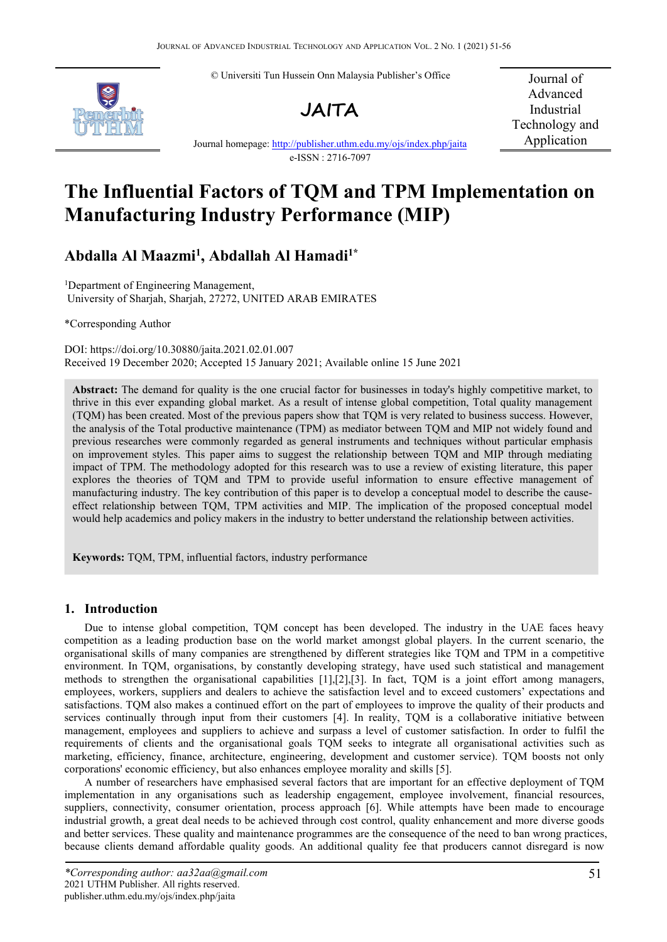© Universiti Tun Hussein Onn Malaysia Publisher's Office





Journal of Advanced Industrial Technology and Application

Journal homepage: <http://publisher.uthm.edu.my/ojs/index.php/jaita> e-ISSN : 2716-7097

# **The Influential Factors ofTQM and TPM Implementation on Manufacturing Industry Performance (MIP)**

## **Abdalla Al Maazmi<sup>1</sup> , Abdallah Al Hamadi1\***

<sup>1</sup>Department of Engineering Management, University of Sharjah, Sharjah, 27272, UNITED ARAB EMIRATES

\*Corresponding Author

DOI: https://doi.org/10.30880/jaita.2021.02.01.007 Received 19 December 2020; Accepted 15 January 2021; Available online 15 June 2021

**Abstract:** The demand for quality is the one crucial factor for businesses in today's highly competitive market, to thrive in this ever expanding global market. As a result of intense global competition, Total quality management (TQM) has been created. Most of the previous papers show that TQM is very related to business success. However, the analysis ofthe Total productive maintenance (TPM) as mediator between TQM and MIP not widely found and previous researches were commonly regarded as general instruments and techniques without particular emphasis on improvement styles. This paper aims to suggest the relationship between TQM and MIP through mediating impact of TPM. The methodology adopted for this research was to use a review of existing literature, this paper explores the theories of TQM and TPM to provide useful information to ensure effective management of manufacturing industry. The key contribution of this paper is to develop a conceptual model to describe the cause effect relationship between TQM, TPM activities and MIP. The implication of the proposed conceptual model would help academics and policy makers in the industry to better understand the relationship between activities.

**Keywords:** TQM, TPM, influential factors, industry performance

## **1. Introduction**

Due to intense global competition, TQM concept has been developed. The industry in the UAE faces heavy competition as a leading production base on the world market amongst global players. In the current scenario, the organisational skills of many companies are strengthened by different strategies like TQM and TPM in a competitive environment. In TQM, organisations, by constantly developing strategy, have used such statistical and management methods to strengthen the organisational capabilities [1],[2],[3]. In fact, TQM is a joint effort among managers, employees, workers, suppliers and dealers to achieve the satisfaction level and to exceed customers' expectations and satisfactions. TQM also makes a continued effort on the part of employees to improve the quality of their products and services continually through input from their customers [4]. In reality, TQM is a collaborative initiative between management, employees and suppliers to achieve and surpass a level of customer satisfaction. In order to fulfil the requirements of clients and the organisational goals TQM seeks to integrate all organisational activities such as marketing, efficiency, finance, architecture, engineering, development and customer service). TQM boosts not only corporations' economic efficiency, but also enhances employee morality and skills [5].

A number of researchers have emphasised several factors that are important for an effective deployment of TQM implementation in any organisations such as leadership engagement, employee involvement, financial resources, suppliers, connectivity, consumer orientation, process approach [6]. While attempts have been made to encourage industrial growth, a great deal needs to be achieved through cost control, quality enhancement and more diverse goods and better services. These quality and maintenance programmes are the consequence of the need to ban wrong practices, because clients demand affordable quality goods. An additional quality fee that producers cannot disregard is now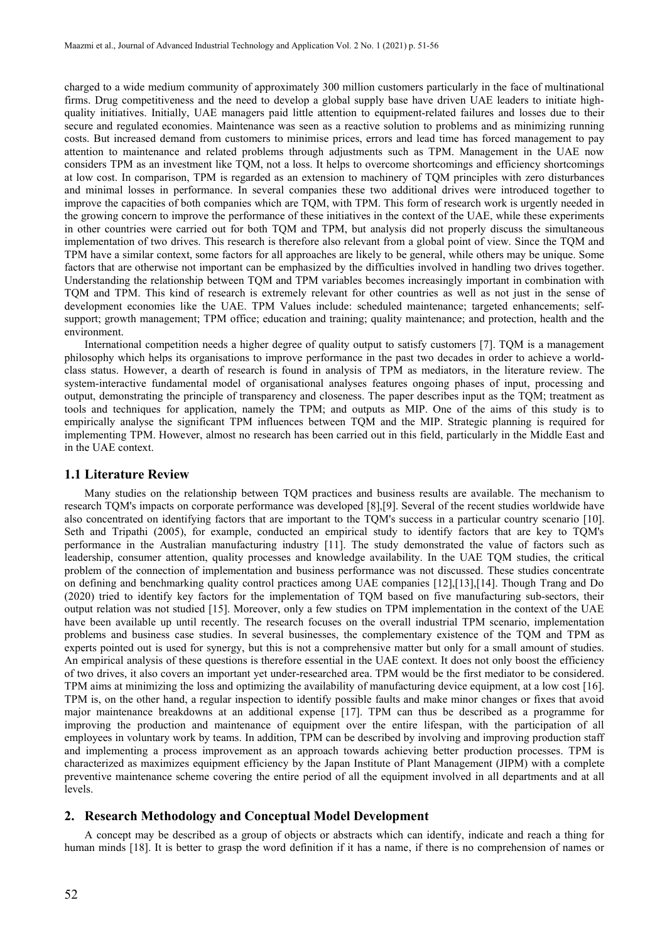charged to a wide medium community of approximately 300 million customers particularly in the face of multinational firms. Drug competitiveness and the need to develop a global supply base have driven UAE leaders to initiate high quality initiatives. Initially, UAE managers paid little attention to equipment-related failures and losses due to their secure and regulated economies. Maintenance was seen as a reactive solution to problems and as minimizing running costs. But increased demand from customers to minimise prices, errors and lead time has forced management to pay attention to maintenance and related problems through adjustments such as TPM. Management in the UAE now considers TPM as an investment like TQM, not a loss. It helps to overcome shortcomings and efficiency shortcomings at low cost. In comparison, TPM is regarded as anextension to machinery of TQM principles with zero disturbances and minimal losses in performance. In several companies these two additional drives were introduced together to improve the capacities of both companies which are TQM, with TPM. This form of research work is urgently needed in the growing concern to improve the performance of these initiatives in the context of the UAE, while these experiments in other countries were carried out for both TOM and TPM, but analysis did not properly discuss the simultaneous implementation of two drives. This research is therefore also relevant from a global point of view. Since the TQM and TPM have a similar context, some factors for all approaches are likely to be general, while others may be unique. Some factors that are otherwise not important can be emphasized by the difficulties involved in handling two drives together. Understanding the relationship between TQM and TPM variables becomes increasingly importantin combination with TQM and TPM. This kind of research is extremely relevant for other countries as wellas not just in the sense of development economies like the UAE. TPM Values include: scheduled maintenance; targeted enhancements; self support; growth management; TPM office; education and training; quality maintenance; and protection, health and the environment.

International competition needs a higher degree of quality output to satisfy customers [7]. TQM is a management philosophy which helps its organisations to improve performance in the past two decades in order to achieve a world class status. However, a dearth of research is found in analysis of TPM as mediators, in the literature review. The system-interactive fundamental model of organisational analyses features ongoing phases of input, processing and output, demonstrating the principle of transparency and closeness. The paper describes input as the TQM; treatment as tools and techniques for application, namely the TPM; and outputs as MIP. One of the aims of this study is to empirically analyse the significant TPM influences between TQM and the MIP. Strategic planning is required for implementing TPM. However, almost no research has been carried out in this field, particularly in the Middle East and in the UAE context.

## **1.1 Literature Review**

Many studies on the relationship between TQM practices and business results are available. The mechanism to research TQM's impacts on corporate performance was developed [8],[9]. Several of the recent studies worldwide have also concentrated on identifying factors that are important to the TQM's success in a particular country scenario [10]. Seth and Tripathi (2005), for example, conducted an empirical study to identify factors that are key to TQM's performance in the Australian manufacturing industry [11]. The study demonstrated the value of factors such as leadership, consumer attention, quality processes and knowledge availability. In the UAE TQM studies, the critical problem of the connection of implementation and business performance was not discussed. These studies concentrate on defining and benchmarking quality control practices among UAE companies [12],[13],[14]. Though Trang and Do (2020) tried to identify key factors for the implementation of TQM based on five manufacturing sub-sectors, their output relation was not studied [15]. Moreover, only a few studies on TPM implementation in the context of the UAE have been available up until recently. The research focuses on the overall industrial TPM scenario, implementation problems and business case studies. In several businesses, the complementary existence of the TQM and TPM as experts pointed out is used for synergy, but this is not a comprehensive matter but only for a small amount of studies. An empirical analysis of these questions is therefore essential in the UAE context. It does not only boost the efficiency of two drives, it also covers an important yet under-researched area. TPM would be the first mediator to be considered. TPM aims at minimizing the loss and optimizing the availability of manufacturing device equipment, at a low cost [16]. TPM is, on the other hand, a regular inspection to identify possible faults and make minor changes or fixes that avoid major maintenance breakdowns at an additional expense [17]. TPM can thus be described as a programme for improving the production and maintenance of equipment over the entire lifespan, with the participation of all employees in voluntary work by teams. In addition, TPM can be described by involving and improving production staff and implementing a process improvement as an approach towards achieving better production processes. TPM is characterized as maximizes equipment efficiency by the Japan Institute of Plant Management (JIPM) with a complete preventive maintenance scheme covering the entire period of all the equipment involved in all departments and at all levels.

## **2. Research Methodology and Conceptual Model Development**

A concept may be described as a group of objects or abstracts which can identify, indicate and reach a thing for human minds [18]. It is better to grasp the word definition if it has a name, if there is no comprehension of names or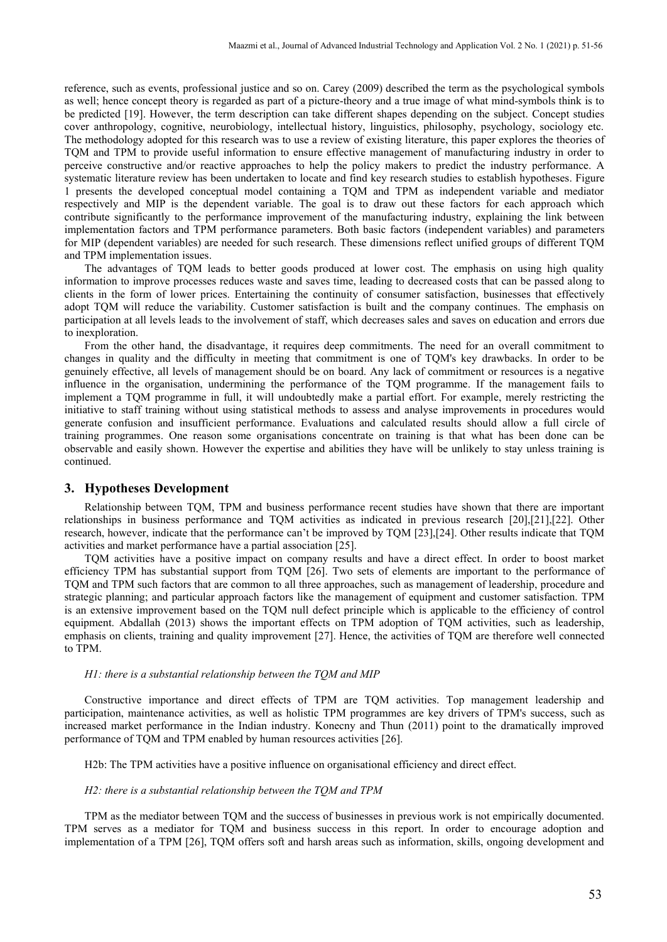reference, such as events, professional justice and so on. Carey (2009) described the term as the psychological symbols as well; hence concept theory is regarded as part of a picture-theory and a true image of what mind-symbols think is to be predicted [19]. However, the term description can take different shapes depending on the subject. Concept studies cover anthropology, cognitive, neurobiology, intellectual history, linguistics, philosophy, psychology, sociology etc. The methodology adopted for this research was to use a review of existing literature, this paper explores the theories of TQM and TPM to provide useful information to ensure effective management of manufacturing industry in order to perceive constructive and/or reactive approaches to help the policy makers to predict the industry performance. A systematic literature review has been undertaken to locate and find key research studies to establish hypotheses. Figure 1 presents the developed conceptual model containing a TQM and TPM as independent variable and mediator respectively and MIP is the dependent variable. The goal is to draw out these factors for each approach which contribute significantly to the performance improvement of the manufacturing industry, explaining the link between implementation factors and TPM performance parameters. Both basic factors (independent variables) and parameters for MIP (dependent variables) are needed for such research. These dimensions reflect unified groups of different TQM and TPM implementation issues.

The advantages of TQM leads to better goods produced at lower cost. The emphasis on using high quality information to improve processes reduces waste and saves time, leading to decreased costs that can be passed along to clients in the form of lower prices. Entertaining the continuity of consumer satisfaction, businesses that effectively adopt TQM will reduce the variability. Customer satisfaction is built and the company continues. The emphasis on participation at all levels leads to the involvement of staff, which decreases sales and saves on education and errors due to inexploration.

From the other hand, the disadvantage, it requires deep commitments. The need for an overall commitment to changes in quality and the difficulty in meeting that commitment is one of TQM's key drawbacks. In order to be genuinely effective, all levels of management should be on board. Any lack of commitment or resources is a negative influence in the organisation, undermining the performance of the TQM programme. If the management fails to implement a TQM programme in full, it will undoubtedly make a partial effort. For example, merely restricting the initiative to staff training without using statistical methods to assess and analyse improvements in procedures would generate confusion and insufficient performance. Evaluations and calculated results should allow a full circle of training programmes. One reason some organisations concentrate on training is that what has been done can be observable and easily shown. However the expertise and abilities they have will be unlikely to stay unless training is continued.

### **3. Hypotheses Development**

Relationship between TQM, TPM and business performance recent studies have shown that there are important relationships in business performance and TQM activities as indicated in previous research [20],[21],[22]. Other research, however, indicate that the performance can't be improved by TQM [23],[24]. Other results indicate that TQM activities and market performance have a partial association [25].

TOM activities have a positive impact on company results and have a direct effect. In order to boost market efficiency TPM has substantial support from TQM [26]. Two sets of elements are important to the performance of TQM and TPM such factors that are common to all three approaches, such as management of leadership, procedure and strategic planning; and particular approach factors like the management of equipment and customer satisfaction. TPM is an extensive improvement based on the TQM null defect principle which is applicable to the efficiency of control equipment. Abdallah (2013) shows the important effects on TPM adoption of TQM activities, such as leadership, emphasis on clients, training and quality improvement [27]. Hence, the activities of TQM are therefore well connected to TPM.

#### *H1: there is a substantial relationship between the TQM and MIP*

Constructive importance and direct effects of TPM are TQM activities. Top management leadership and participation, maintenance activities, as well as holistic TPM programmes are key drivers of TPM's success, such as increased market performance in the Indian industry. Konecny and Thun (2011) point to the dramatically improved performance of TQM and TPM enabled by human resources activities [26].

H2b: The TPM activities have a positive influence on organisational efficiency and direct effect.

#### *H2: there is a substantial relationship between the TQM and TPM*

TPM as the mediator between TQM and the success of businesses in previous work is not empirically documented. TPM serves as a mediator for TQM and business successin this report. In order to encourage adoption and implementation of a TPM [26], TQM offers soft and harsh areas such as information, skills, ongoing development and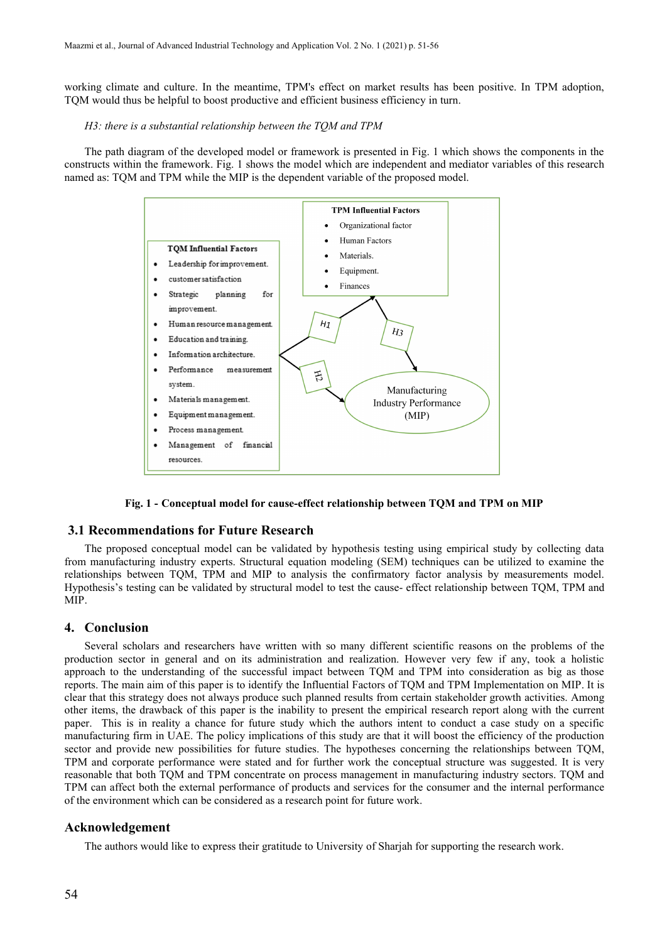working climate and culture. In the meantime, TPM's effect on market results has been positive. In TPM adoption, TQM would thus be helpful to boost productive and efficient business efficiency in turn.

#### *H3: there is a substantial relationship between the TQM and TPM*

The path diagram of the developed model or framework is presented in Fig. 1 which shows the components in the constructs within the framework. Fig. 1 shows the model which are independent and mediator variables of this research named as: TQM and TPM while the MIP is the dependent variable of the proposed model.



**Fig. 1 - Conceptual model for cause-effect relationship between TQM and TPM on MIP**

#### **3.1 Recommendations for Future Research**

The proposed conceptual model can be validated by hypothesis testing using empirical study by collecting data from manufacturing industry experts. Structural equation modeling (SEM) techniques can be utilized to examine the relationships between TQM, TPM and MIP to analysis the confirmatory factor analysis by measurements model. Hypothesis's testing can be validated by structural model to test the cause- effect relationship between TQM, TPM and MIP.

## **4. Conclusion**

Several scholars and researchers have written with so many different scientific reasons on the problems of the production sector in general and on its administration and realization. However very few if any, took a holistic approach to the understanding of the successful impact between TQM and TPM into consideration as big as those reports. The main aim of this paper is to identify the Influential Factors of TOM and TPM Implementation on MIP. It is clear that this strategy does not always produce such planned results from certain stakeholder growth activities. Among other items, the drawback of this paper is the inability to present the empirical research report along with the current paper. This is in reality a chance for future study which the authors intent to conduct a case study on a specific manufacturing firm in UAE. The policy implications of this study are that it will boost the efficiency of the production sector and provide new possibilities for future studies. The hypotheses concerning the relationships between TQM, TPM and corporate performance were stated and for further work the conceptual structure was suggested. It is very reasonable that both TQM and TPM concentrate on process management in manufacturing industry sectors. TQM and TPM can affect both the external performance of products and services for the consumer and the internal performance of the environment which can be considered as a research point for future work.

#### **Acknowledgement**

The authors would like to express their gratitude to University of Sharjah for supporting the research work.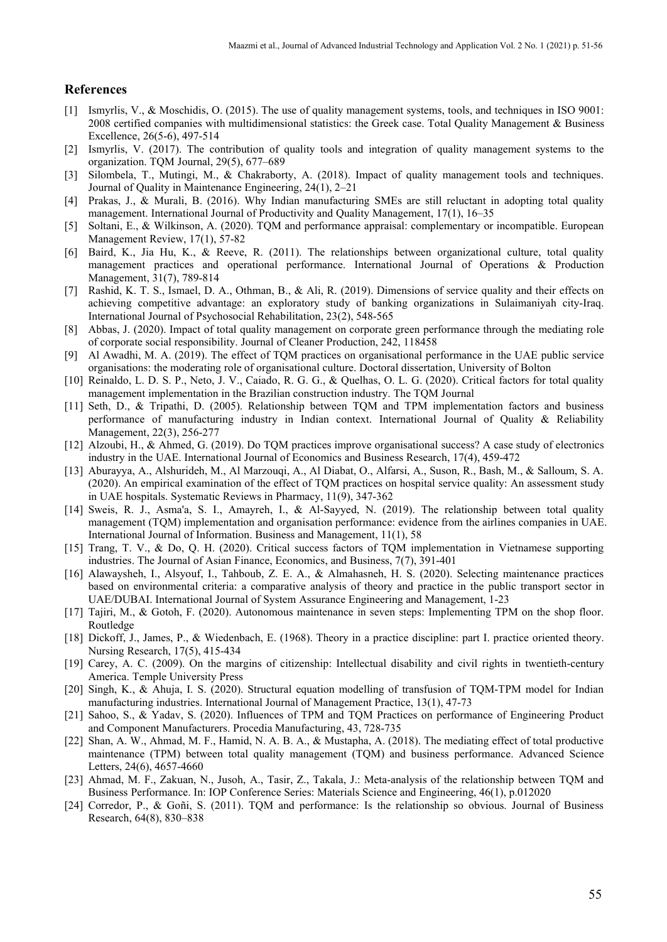## **References**

- [1] Ismyrlis, V., & Moschidis, O. (2015). The use of quality management systems, tools, and techniques in ISO 9001: 2008 certified companies with multidimensional statistics: the Greek case. Total Quality Management & Business Excellence, 26(5-6), 497-514
- [2] Ismyrlis, V. (2017). The contribution of quality tools and integration of quality management systems to the organization. TQM Journal, 29(5), 677–689
- [3] Silombela, T., Mutingi, M., & Chakraborty, A. (2018). Impact of quality management tools and techniques. Journal of Quality in Maintenance Engineering, 24(1), 2–21
- [4] Prakas, J., & Murali, B. (2016). Why Indian manufacturing SMEs are still reluctant in adopting total quality management. International Journal of Productivity and Quality Management, 17(1), 16–35
- [5] Soltani, E., & Wilkinson, A. (2020). TQM and performance appraisal: complementary or incompatible. European Management Review, 17(1), 57-82
- [6] Baird, K., Jia Hu, K., & Reeve, R. (2011). The relationships between organizational culture, total quality management practices and operational performance. International Journal of Operations & Production Management, 31(7), 789-814
- [7] Rashid, K. T. S., Ismael, D. A., Othman, B., & Ali, R. (2019). Dimensions of service quality and their effects on achieving competitive advantage: an exploratory study of banking organizations in Sulaimaniyah city-Iraq. International Journal of Psychosocial Rehabilitation, 23(2), 548-565
- [8] Abbas, J. (2020). Impact of total quality management on corporate green performance through the mediating role of corporate social responsibility. Journal of Cleaner Production, 242, 118458
- [9] Al Awadhi, M. A. (2019). The effect of TQM practices on organisational performance in the UAE public service organisations: the moderating role of organisational culture. Doctoral dissertation, University of Bolton
- [10] Reinaldo, L. D. S. P., Neto, J. V., Caiado, R. G. G., & Quelhas, O. L. G. (2020). Critical factors for total quality management implementation in the Brazilian construction industry. The TQM Journal
- [11] Seth, D., & Tripathi, D. (2005). Relationship between TQM and TPM implementation factors and business performance of manufacturing industry in Indian context. International Journal of Quality & Reliability Management, 22(3), 256-277
- [12] Alzoubi, H., & Ahmed, G. (2019). Do TQM practices improve organisational success? A case study of electronics industry in the UAE. International Journal of Economics and Business Research, 17(4), 459-472
- [13] Aburayya, A., Alshurideh, M., Al Marzouqi, A., Al Diabat, O., Alfarsi, A., Suson, R., Bash, M., & Salloum, S. A. (2020). An empirical examination of the effect of TQM practices on hospital service quality: An assessment study in UAE hospitals. Systematic Reviews in Pharmacy, 11(9), 347-362
- [14] Sweis, R. J., Asma'a, S. I., Amayreh, I., & Al-Sayyed, N. (2019). The relationship between total quality management (TQM) implementation and organisation performance: evidence from the airlines companies in UAE. International Journal of Information. Business and Management, 11(1), 58
- [15] Trang, T. V., & Do, Q. H. (2020). Critical success factors of TQM implementation in Vietnamese supporting industries. The Journal of Asian Finance, Economics, and Business, 7(7), 391-401
- [16] Alawaysheh, I., Alsyouf, I., Tahboub, Z. E. A., & Almahasneh, H. S. (2020). Selecting maintenance practices based on environmental criteria: a comparative analysis of theory and practice in the public transport sector in UAE/DUBAI. International Journal of System Assurance Engineering and Management, 1-23
- [17] Tajiri, M., & Gotoh, F. (2020). Autonomous maintenance in seven steps: Implementing TPM on the shop floor. Routledge
- [18] Dickoff, J., James, P., & Wiedenbach, E. (1968). Theory in a practice discipline: part I. practice oriented theory. Nursing Research, 17(5), 415-434
- [19] Carey, A. C. (2009). On the margins of citizenship: Intellectual disability and civil rights in twentieth-century America. Temple University Press
- [20] Singh, K., & Ahuja, I. S. (2020). Structural equation modelling of transfusion of TQM-TPM model for Indian manufacturing industries. International Journal of Management Practice, 13(1), 47-73
- [21] Sahoo, S., & Yadav, S. (2020). Influences of TPM and TQM Practices on performance of Engineering Product and Component Manufacturers. Procedia Manufacturing, 43, 728-735
- [22] Shan, A. W., Ahmad, M. F., Hamid, N. A. B. A., & Mustapha, A. (2018). The mediating effect of total productive maintenance (TPM) between total quality management (TQM) and business performance. Advanced Science Letters, 24(6), 4657-4660
- [23] Ahmad, M. F., Zakuan, N., Jusoh, A., Tasir, Z., Takala, J.: Meta-analysis of the relationship between TQM and Business Performance. In: IOP Conference Series: Materials Science and Engineering, 46(1), p.012020
- [24] Corredor, P., & Goñi, S. (2011). TQM and performance: Is the relationship so obvious. Journal of Business Research, 64(8), 830–838